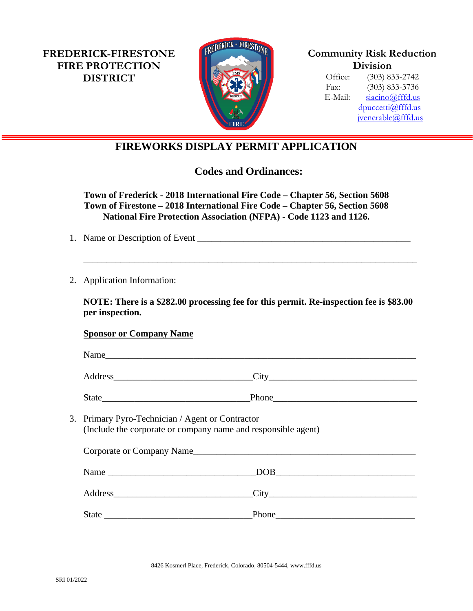**FREDERICK-FIRESTONE FIRE PROTECTION DISTRICT**



**Community Risk Reduction Division**

Office: (303) 833-2742 Fax: (303) 833-3736 E-Mail: [siacino@fffd.us](mailto:siacino@fffd.us) [dpuccetti@fffd.us](mailto:dpuccetti@fffd.us) [jvenerable@fffd.us](mailto:jvenerable@fffd.us)

## **FIREWORKS DISPLAY PERMIT APPLICATION**

**Codes and Ordinances:**

**Town of Frederick - 2018 International Fire Code – Chapter 56, Section 5608 Town of Firestone – 2018 International Fire Code – Chapter 56, Section 5608 National Fire Protection Association (NFPA) - Code 1123 and 1126.**

- 1. Name or Description of Event
- 2. Application Information:

**NOTE: There is a \$282.00 processing fee for this permit. Re-inspection fee is \$83.00 per inspection.** 

\_\_\_\_\_\_\_\_\_\_\_\_\_\_\_\_\_\_\_\_\_\_\_\_\_\_\_\_\_\_\_\_\_\_\_\_\_\_\_\_\_\_\_\_\_\_\_\_\_\_\_\_\_\_\_\_\_\_\_\_\_\_\_\_\_\_\_\_\_\_\_\_

## **Sponsor or Company Name**

| Name                                                                                                              |                   |
|-------------------------------------------------------------------------------------------------------------------|-------------------|
|                                                                                                                   |                   |
|                                                                                                                   | Phone             |
| 3. Primary Pyro-Technician / Agent or Contractor<br>(Include the corporate or company name and responsible agent) |                   |
| Corporate or Company Name                                                                                         |                   |
|                                                                                                                   |                   |
|                                                                                                                   | Address City City |
|                                                                                                                   |                   |
|                                                                                                                   |                   |

8426 Kosmerl Place, Frederick, Colorado, 80504-5444, www.fffd.us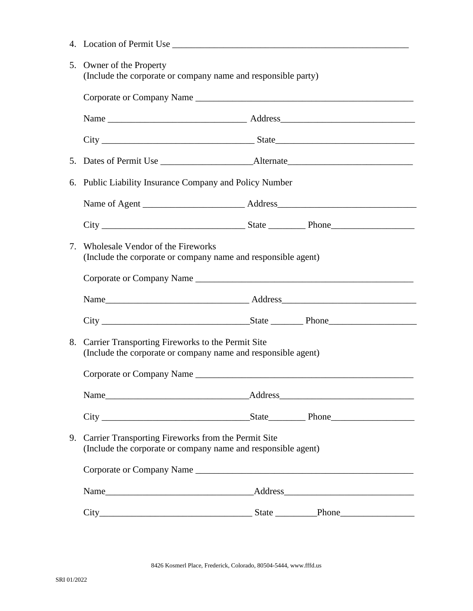- 4. Location of Permit Use \_\_\_\_\_\_\_\_\_\_\_\_\_\_\_\_\_\_\_\_\_\_\_\_\_\_\_\_\_\_\_\_\_\_\_\_\_\_\_\_\_\_\_\_\_\_\_\_\_\_\_
- 5. Owner of the Property (Include the corporate or company name and responsible party)

|    | 6. Public Liability Insurance Company and Policy Number                                                                 |  |  |  |  |
|----|-------------------------------------------------------------------------------------------------------------------------|--|--|--|--|
|    |                                                                                                                         |  |  |  |  |
|    |                                                                                                                         |  |  |  |  |
|    | 7. Wholesale Vendor of the Fireworks<br>(Include the corporate or company name and responsible agent)                   |  |  |  |  |
|    |                                                                                                                         |  |  |  |  |
|    |                                                                                                                         |  |  |  |  |
|    |                                                                                                                         |  |  |  |  |
| 8. | Carrier Transporting Fireworks to the Permit Site<br>(Include the corporate or company name and responsible agent)      |  |  |  |  |
|    |                                                                                                                         |  |  |  |  |
|    |                                                                                                                         |  |  |  |  |
|    |                                                                                                                         |  |  |  |  |
|    | 9. Carrier Transporting Fireworks from the Permit Site<br>(Include the corporate or company name and responsible agent) |  |  |  |  |
|    | Corporate or Company Name                                                                                               |  |  |  |  |
|    |                                                                                                                         |  |  |  |  |
|    |                                                                                                                         |  |  |  |  |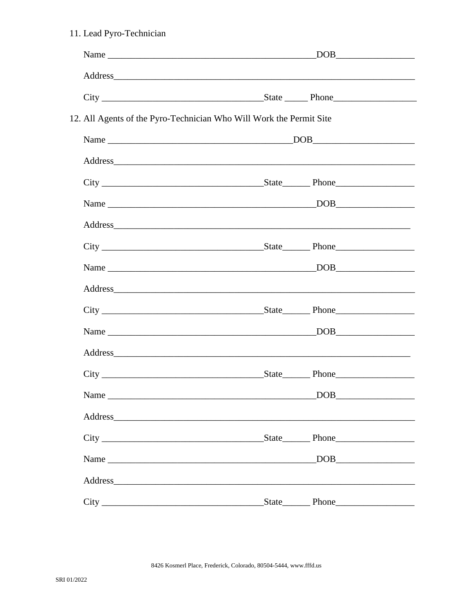| 11. Lead Pyro-Technician |                                                                                                                                                                                                                                |  |  |  |  |
|--------------------------|--------------------------------------------------------------------------------------------------------------------------------------------------------------------------------------------------------------------------------|--|--|--|--|
|                          |                                                                                                                                                                                                                                |  |  |  |  |
|                          | Address experiences and the set of the set of the set of the set of the set of the set of the set of the set of the set of the set of the set of the set of the set of the set of the set of the set of the set of the set of  |  |  |  |  |
|                          |                                                                                                                                                                                                                                |  |  |  |  |
|                          | 12. All Agents of the Pyro-Technician Who Will Work the Permit Site                                                                                                                                                            |  |  |  |  |
|                          |                                                                                                                                                                                                                                |  |  |  |  |
|                          |                                                                                                                                                                                                                                |  |  |  |  |
|                          |                                                                                                                                                                                                                                |  |  |  |  |
|                          |                                                                                                                                                                                                                                |  |  |  |  |
|                          |                                                                                                                                                                                                                                |  |  |  |  |
|                          |                                                                                                                                                                                                                                |  |  |  |  |
|                          |                                                                                                                                                                                                                                |  |  |  |  |
|                          |                                                                                                                                                                                                                                |  |  |  |  |
|                          |                                                                                                                                                                                                                                |  |  |  |  |
|                          |                                                                                                                                                                                                                                |  |  |  |  |
|                          |                                                                                                                                                                                                                                |  |  |  |  |
|                          | <u>State</u> Phone                                                                                                                                                                                                             |  |  |  |  |
|                          |                                                                                                                                                                                                                                |  |  |  |  |
|                          |                                                                                                                                                                                                                                |  |  |  |  |
|                          |                                                                                                                                                                                                                                |  |  |  |  |
|                          |                                                                                                                                                                                                                                |  |  |  |  |
|                          | Address and the contract of the contract of the contract of the contract of the contract of the contract of the contract of the contract of the contract of the contract of the contract of the contract of the contract of th |  |  |  |  |
|                          |                                                                                                                                                                                                                                |  |  |  |  |

8426 Kosmerl Place, Frederick, Colorado, 80504-5444, www.fffd.us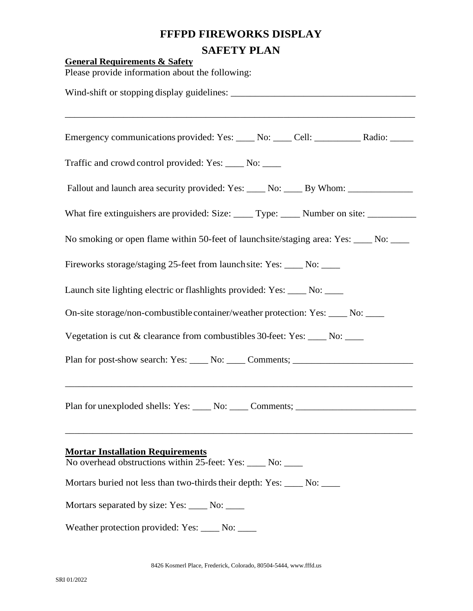## **FFFPD FIREWORKS DISPLAY SAFETY PLAN**

| <b>General Requirements &amp; Safety</b> | Please provide information about the following:                                                      |
|------------------------------------------|------------------------------------------------------------------------------------------------------|
|                                          |                                                                                                      |
|                                          | Emergency communications provided: Yes: ____ No: ____ Cell: __________ Radio: _____                  |
|                                          | Traffic and crowd control provided: Yes: _____ No: ____                                              |
|                                          | Fallout and launch area security provided: Yes: _____ No: _____ By Whom: ___________________________ |
|                                          | What fire extinguishers are provided: Size: _____ Type: _____ Number on site: ______________________ |
|                                          | No smoking or open flame within 50-feet of launchsite/staging area: Yes: ____ No: ____               |
|                                          | Fireworks storage/staging 25-feet from launch site: Yes: ____ No: ____                               |
|                                          | Launch site lighting electric or flashlights provided: Yes: ____ No: ____                            |
|                                          | On-site storage/non-combustible container/weather protection: Yes: ____ No: ____                     |
|                                          | Vegetation is cut & clearance from combustibles 30-feet: Yes: ____ No: ____                          |
|                                          | Plan for post-show search: Yes: _____ No: _____ Comments; _______________________                    |
|                                          | Plan for unexploded shells: Yes: _____ No: _____ Comments; ______________________                    |
| <b>Mortar Installation Requirements</b>  | No overhead obstructions within 25-feet: Yes: ____ No: ____                                          |
|                                          | Mortars buried not less than two-thirds their depth: Yes: ____ No: ____                              |
|                                          | Mortars separated by size: Yes: ____ No: ____                                                        |
|                                          | Weather protection provided: Yes: _____ No: ____                                                     |